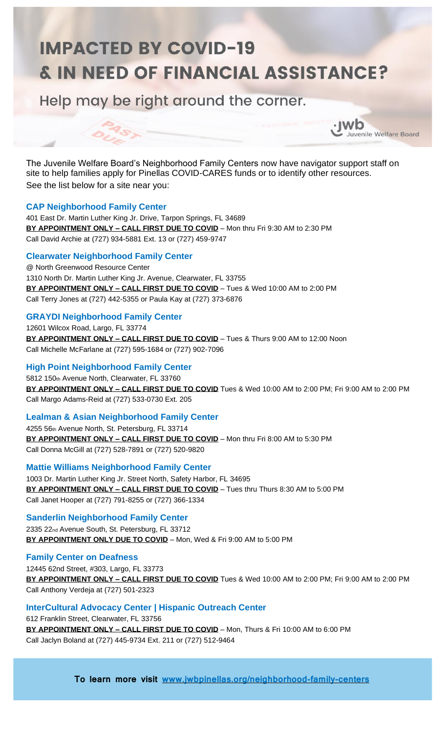# **IMPACTED BY COVID-19 & IN NEED OF FINANCIAL ASSISTANCE?**

Help may be right around the corner.

The Juvenile Welfare Board's Neighborhood Family Centers now have navigator support staff on site to help families apply for Pinellas COVID-CARES funds or to identify other resources. See the list below for a site near you:

 $\cdot$  IWD

Juvenile Welfare Board

# **CAP Neighborhood Family Center**

401 East Dr. Martin Luther King Jr. Drive, Tarpon Springs, FL 34689 **BY APPOINTMENT ONLY – CALL FIRST DUE TO COVID** – Mon thru Fri 9:30 AM to 2:30 PM Call David Archie at (727) 934-5881 Ext. 13 or (727) 459-9747

# **Clearwater Neighborhood Family Center**

@ North Greenwood Resource Center 1310 North Dr. Martin Luther King Jr. Avenue, Clearwater, FL 33755 **BY APPOINTMENT ONLY – CALL FIRST DUE TO COVID** – Tues & Wed 10:00 AM to 2:00 PM Call Terry Jones at (727) 442-5355 or Paula Kay at (727) 373-6876

# **GRAYDI Neighborhood Family Center**

12601 Wilcox Road, Largo, FL 33774 **BY APPOINTMENT ONLY – CALL FIRST DUE TO COVID** – Tues & Thurs 9:00 AM to 12:00 Noon Call Michelle McFarlane at (727) 595-1684 or (727) 902-7096

# **High Point Neighborhood Family Center**

5812 150th Avenue North, Clearwater, FL 33760 **BY APPOINTMENT ONLY – CALL FIRST DUE TO COVID** Tues & Wed 10:00 AM to 2:00 PM; Fri 9:00 AM to 2:00 PM Call Margo Adams-Reid at (727) 533-0730 Ext. 205

## **Lealman & Asian Neighborhood Family Center**

4255 56th Avenue North, St. Petersburg, FL 33714 **BY APPOINTMENT ONLY – CALL FIRST DUE TO COVID** – Mon thru Fri 8:00 AM to 5:30 PM Call Donna McGill at (727) 528-7891 or (727) 520-9820

## **Mattie Williams Neighborhood Family Center**

1003 Dr. Martin Luther King Jr. Street North, Safety Harbor, FL 34695 **BY APPOINTMENT ONLY – CALL FIRST DUE TO COVID** – Tues thru Thurs 8:30 AM to 5:00 PM Call Janet Hooper at (727) 791-8255 or (727) 366-1334

## **Sanderlin Neighborhood Family Center**

2335 22nd Avenue South, St. Petersburg, FL 33712 **BY APPOINTMENT ONLY DUE TO COVID** – Mon, Wed & Fri 9:00 AM to 5:00 PM

## **Family Center on Deafness**

12445 62nd Street, #303, Largo, FL 33773 **BY APPOINTMENT ONLY – CALL FIRST DUE TO COVID** Tues & Wed 10:00 AM to 2:00 PM; Fri 9:00 AM to 2:00 PM Call Anthony Verdeja at (727) 501-2323

# **InterCultural Advocacy Center | Hispanic Outreach Center**

612 Franklin Street, Clearwater, FL 33756 **BY APPOINTMENT ONLY – CALL FIRST DUE TO COVID** – Mon, Thurs & Fri 10:00 AM to 6:00 PM Call Jaclyn Boland at (727) 445-9734 Ext. 211 or (727) 512-9464

**To learn more visit [www.jwbpinellas.org/neighborhood-family-centers](http://www.jwbpinellas.org/neighborhood-family-centers)**